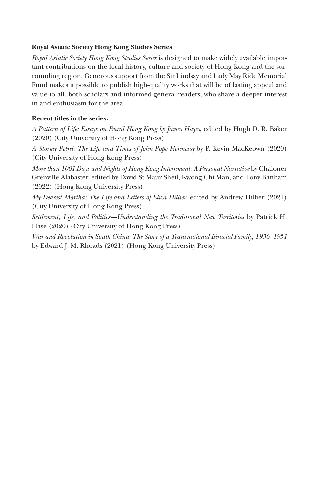### **Royal Asiatic Society Hong Kong Studies Series**

*Royal Asiatic Society Hong Kong Studies Series* is designed to make widely available important contributions on the local history, culture and society of Hong Kong and the surrounding region. Generous support from the Sir Lindsay and Lady May Ride Memorial Fund makes it possible to publish high-quality works that will be of lasting appeal and value to all, both scholars and informed general readers, who share a deeper interest in and enthusiasm for the area.

### **Recent titles in the series:**

*A Pattern of Life: Essays on Rural Hong Kong by James Hayes*, edited by Hugh D. R. Baker (2020) (City University of Hong Kong Press)

*A Stormy Petrel: The Life and Times of John Pope Hennessy* by P. Kevin MacKeown (2020) (City University of Hong Kong Press)

*More than 1001 Days and Nights of Hong Kong Internment: A Personal Narrative* by Chaloner Grenville Alabaster, edited by David St Maur Sheil, Kwong Chi Man, and Tony Banham (2022) (Hong Kong University Press)

*My Dearest Martha: The Life and Letters of Eliza Hillier*, edited by Andrew Hillier (2021) (City University of Hong Kong Press)

*Settlement, Life, and Politics—Understanding the Traditional New Territories* by Patrick H. Hase (2020) (City University of Hong Kong Press)

*War and Revolution in South China: The Story of a Transnational Biracial Family, 1936–1951* by Edward J. M. Rhoads (2021) (Hong Kong University Press)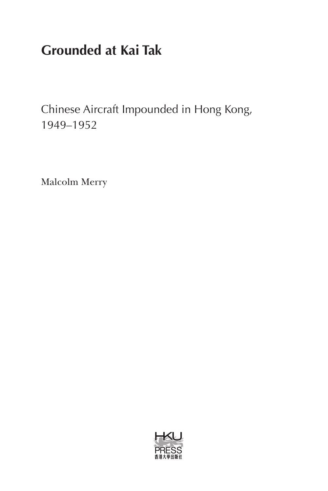# **Grounded at Kai Tak**

Chinese Aircraft Impounded in Hong Kong, 1949–1952

Malcolm Merry

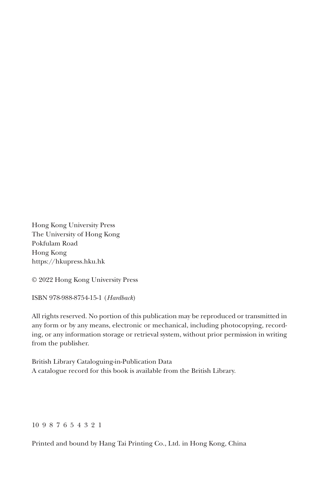Hong Kong University Press The University of Hong Kong Pokfulam Road Hong Kong https://hkupress.hku.hk

© 2022 Hong Kong University Press

ISBN 978-988-8754-15-1 (*Hardback*)

All rights reserved. No portion of this publication may be reproduced or transmitted in any form or by any means, electronic or mechanical, including photocopying, recording, or any information storage or retrieval system, without prior permission in writing from the publisher.

British Library Cataloguing-in-Publication Data A catalogue record for this book is available from the British Library.

#### 10 9 8 7 6 5 4 3 2 1

Printed and bound by Hang Tai Printing Co., Ltd. in Hong Kong, China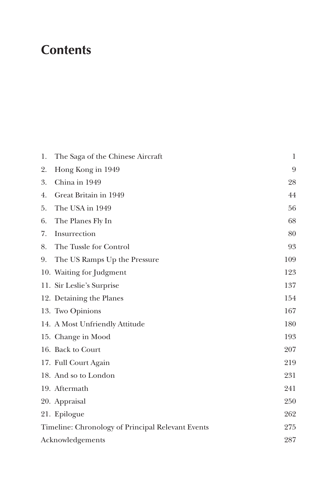## **Contents**

| 1. | The Saga of the Chinese Aircraft                         | 1   |  |
|----|----------------------------------------------------------|-----|--|
| 2. | Hong Kong in 1949                                        | 9   |  |
| 3. | China in 1949                                            | 28  |  |
| 4. | Great Britain in 1949                                    | 44  |  |
| 5. | The USA in 1949                                          | 56  |  |
| 6. | The Planes Fly In                                        | 68  |  |
| 7. | Insurrection                                             | 80  |  |
| 8. | The Tussle for Control                                   | 93  |  |
| 9. | The US Ramps Up the Pressure                             | 109 |  |
|    | 10. Waiting for Judgment                                 | 123 |  |
|    | 11. Sir Leslie's Surprise                                | 137 |  |
|    | 12. Detaining the Planes                                 | 154 |  |
|    | 13. Two Opinions                                         | 167 |  |
|    | 14. A Most Unfriendly Attitude                           | 180 |  |
|    | 15. Change in Mood                                       | 193 |  |
|    | 16. Back to Court                                        | 207 |  |
|    | 17. Full Court Again                                     | 219 |  |
|    | 18. And so to London                                     | 231 |  |
|    | 19. Aftermath                                            | 241 |  |
|    | 20. Appraisal                                            | 250 |  |
|    | 21. Epilogue                                             | 262 |  |
|    | 275<br>Timeline: Chronology of Principal Relevant Events |     |  |
|    | 287<br>Acknowledgements                                  |     |  |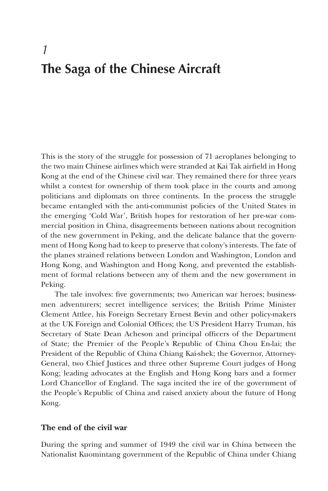## *1* **The Saga of the Chinese Aircraft**

This is the story of the struggle for possession of 71 aeroplanes belonging to the two main Chinese airlines which were stranded at Kai Tak airfield in Hong Kong at the end of the Chinese civil war. They remained there for three years whilst a contest for ownership of them took place in the courts and among politicians and diplomats on three continents. In the process the struggle became entangled with the anti-communist policies of the United States in the emerging 'Cold War', British hopes for restoration of her pre-war commercial position in China, disagreements between nations about recognition of the new government in Peking, and the delicate balance that the government of Hong Kong had to keep to preserve that colony's interests. The fate of the planes strained relations between London and Washington, London and Hong Kong, and Washington and Hong Kong, and prevented the establishment of formal relations between any of them and the new government in Peking.

The tale involves: five governments; two American war heroes; businessmen adventurers; secret intelligence services; the British Prime Minister Clement Attlee, his Foreign Secretary Ernest Bevin and other policy-makers at the UK Foreign and Colonial Offices; the US President Harry Truman, his Secretary of State Dean Acheson and principal officers of the Department of State; the Premier of the People's Republic of China Chou En-lai; the President of the Republic of China Chiang Kai-shek; the Governor, Attorney-General, two Chief Justices and three other Supreme Court judges of Hong Kong; leading advocates at the English and Hong Kong bars and a former Lord Chancellor of England. The saga incited the ire of the government of the People's Republic of China and raised anxiety about the future of Hong Kong.

### **The end of the civil war**

During the spring and summer of 1949 the civil war in China between the Nationalist Kuomintang government of the Republic of China under Chiang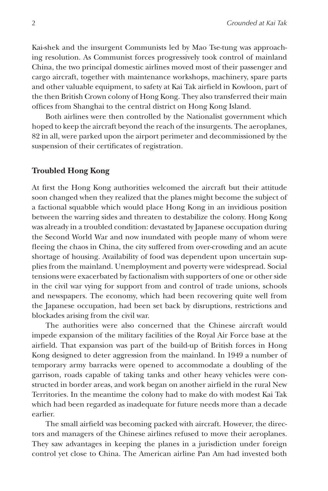Kai-shek and the insurgent Communists led by Mao Tse-tung was approaching resolution. As Communist forces progressively took control of mainland China, the two principal domestic airlines moved most of their passenger and cargo aircraft, together with maintenance workshops, machinery, spare parts and other valuable equipment, to safety at Kai Tak airfield in Kowloon, part of the then British Crown colony of Hong Kong. They also transferred their main offices from Shanghai to the central district on Hong Kong Island.

Both airlines were then controlled by the Nationalist government which hoped to keep the aircraft beyond the reach of the insurgents. The aeroplanes, 82 in all, were parked upon the airport perimeter and decommissioned by the suspension of their certificates of registration.

### **Troubled Hong Kong**

At first the Hong Kong authorities welcomed the aircraft but their attitude soon changed when they realized that the planes might become the subject of a factional squabble which would place Hong Kong in an invidious position between the warring sides and threaten to destabilize the colony. Hong Kong was already in a troubled condition: devastated by Japanese occupation during the Second World War and now inundated with people many of whom were fleeing the chaos in China, the city suffered from over-crowding and an acute shortage of housing. Availability of food was dependent upon uncertain supplies from the mainland. Unemployment and poverty were widespread. Social tensions were exacerbated by factionalism with supporters of one or other side in the civil war vying for support from and control of trade unions, schools and newspapers. The economy, which had been recovering quite well from the Japanese occupation, had been set back by disruptions, restrictions and blockades arising from the civil war.

The authorities were also concerned that the Chinese aircraft would impede expansion of the military facilities of the Royal Air Force base at the airfield. That expansion was part of the build-up of British forces in Hong Kong designed to deter aggression from the mainland. In 1949 a number of temporary army barracks were opened to accommodate a doubling of the garrison, roads capable of taking tanks and other heavy vehicles were constructed in border areas, and work began on another airfield in the rural New Territories. In the meantime the colony had to make do with modest Kai Tak which had been regarded as inadequate for future needs more than a decade earlier.

The small airfield was becoming packed with aircraft. However, the directors and managers of the Chinese airlines refused to move their aeroplanes. They saw advantages in keeping the planes in a jurisdiction under foreign control yet close to China. The American airline Pan Am had invested both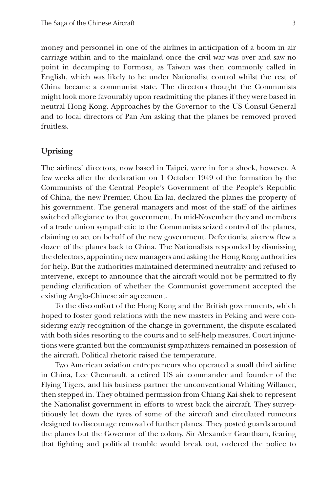money and personnel in one of the airlines in anticipation of a boom in air carriage within and to the mainland once the civil war was over and saw no point in decamping to Formosa, as Taiwan was then commonly called in English, which was likely to be under Nationalist control whilst the rest of China became a communist state. The directors thought the Communists might look more favourably upon readmitting the planes if they were based in neutral Hong Kong. Approaches by the Governor to the US Consul-General and to local directors of Pan Am asking that the planes be removed proved fruitless.

### **Uprising**

The airlines' directors, now based in Taipei, were in for a shock, however. A few weeks after the declaration on 1 October 1949 of the formation by the Communists of the Central People's Government of the People's Republic of China, the new Premier, Chou En-lai, declared the planes the property of his government. The general managers and most of the staff of the airlines switched allegiance to that government. In mid-November they and members of a trade union sympathetic to the Communists seized control of the planes, claiming to act on behalf of the new government. Defectionist aircrew flew a dozen of the planes back to China. The Nationalists responded by dismissing the defectors, appointing new managers and asking the Hong Kong authorities for help. But the authorities maintained determined neutrality and refused to intervene, except to announce that the aircraft would not be permitted to fly pending clarification of whether the Communist government accepted the existing Anglo-Chinese air agreement.

To the discomfort of the Hong Kong and the British governments, which hoped to foster good relations with the new masters in Peking and were considering early recognition of the change in government, the dispute escalated with both sides resorting to the courts and to self-help measures. Court injunctions were granted but the communist sympathizers remained in possession of the aircraft. Political rhetoric raised the temperature.

Two American aviation entrepreneurs who operated a small third airline in China, Lee Chennault, a retired US air commander and founder of the Flying Tigers, and his business partner the unconventional Whiting Willauer, then stepped in. They obtained permission from Chiang Kai-shek to represent the Nationalist government in efforts to wrest back the aircraft. They surreptitiously let down the tyres of some of the aircraft and circulated rumours designed to discourage removal of further planes. They posted guards around the planes but the Governor of the colony, Sir Alexander Grantham, fearing that fighting and political trouble would break out, ordered the police to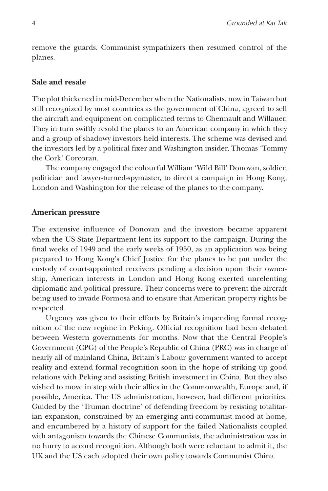remove the guards. Communist sympathizers then resumed control of the planes.

### **Sale and resale**

The plot thickened in mid-December when the Nationalists, now in Taiwan but still recognized by most countries as the government of China, agreed to sell the aircraft and equipment on complicated terms to Chennault and Willauer. They in turn swiftly resold the planes to an American company in which they and a group of shadowy investors held interests. The scheme was devised and the investors led by a political fixer and Washington insider, Thomas 'Tommy the Cork' Corcoran.

The company engaged the colourful William 'Wild Bill' Donovan, soldier, politician and lawyer-turned-spymaster, to direct a campaign in Hong Kong, London and Washington for the release of the planes to the company.

#### **American pressure**

The extensive influence of Donovan and the investors became apparent when the US State Department lent its support to the campaign. During the final weeks of 1949 and the early weeks of 1950, as an application was being prepared to Hong Kong's Chief Justice for the planes to be put under the custody of court-appointed receivers pending a decision upon their ownership, American interests in London and Hong Kong exerted unrelenting diplomatic and political pressure. Their concerns were to prevent the aircraft being used to invade Formosa and to ensure that American property rights be respected.

Urgency was given to their efforts by Britain's impending formal recognition of the new regime in Peking. Official recognition had been debated between Western governments for months. Now that the Central People's Government (CPG) of the People's Republic of China (PRC) was in charge of nearly all of mainland China, Britain's Labour government wanted to accept reality and extend formal recognition soon in the hope of striking up good relations with Peking and assisting British investment in China. But they also wished to move in step with their allies in the Commonwealth, Europe and, if possible, America. The US administration, however, had different priorities. Guided by the 'Truman doctrine' of defending freedom by resisting totalitarian expansion, constrained by an emerging anti-communist mood at home, and encumbered by a history of support for the failed Nationalists coupled with antagonism towards the Chinese Communists, the administration was in no hurry to accord recognition. Although both were reluctant to admit it, the UK and the US each adopted their own policy towards Communist China.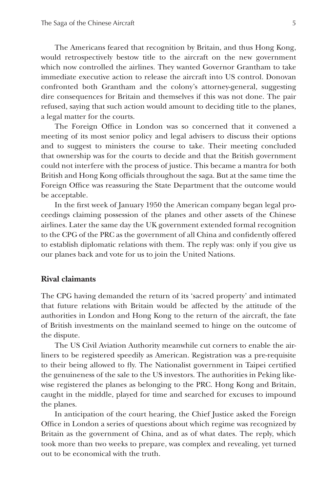The Americans feared that recognition by Britain, and thus Hong Kong, would retrospectively bestow title to the aircraft on the new government which now controlled the airlines. They wanted Governor Grantham to take immediate executive action to release the aircraft into US control. Donovan confronted both Grantham and the colony's attorney-general, suggesting dire consequences for Britain and themselves if this was not done. The pair refused, saying that such action would amount to deciding title to the planes, a legal matter for the courts.

The Foreign Office in London was so concerned that it convened a meeting of its most senior policy and legal advisers to discuss their options and to suggest to ministers the course to take. Their meeting concluded that ownership was for the courts to decide and that the British government could not interfere with the process of justice. This became a mantra for both British and Hong Kong officials throughout the saga. But at the same time the Foreign Office was reassuring the State Department that the outcome would be acceptable.

In the first week of January 1950 the American company began legal proceedings claiming possession of the planes and other assets of the Chinese airlines. Later the same day the UK government extended formal recognition to the CPG of the PRC as the government of all China and confidently offered to establish diplomatic relations with them. The reply was: only if you give us our planes back and vote for us to join the United Nations.

### **Rival claimants**

The CPG having demanded the return of its 'sacred property' and intimated that future relations with Britain would be affected by the attitude of the authorities in London and Hong Kong to the return of the aircraft, the fate of British investments on the mainland seemed to hinge on the outcome of the dispute.

The US Civil Aviation Authority meanwhile cut corners to enable the airliners to be registered speedily as American. Registration was a pre-requisite to their being allowed to fly. The Nationalist government in Taipei certified the genuineness of the sale to the US investors. The authorities in Peking likewise registered the planes as belonging to the PRC. Hong Kong and Britain, caught in the middle, played for time and searched for excuses to impound the planes.

In anticipation of the court hearing, the Chief Justice asked the Foreign Office in London a series of questions about which regime was recognized by Britain as the government of China, and as of what dates. The reply, which took more than two weeks to prepare, was complex and revealing, yet turned out to be economical with the truth.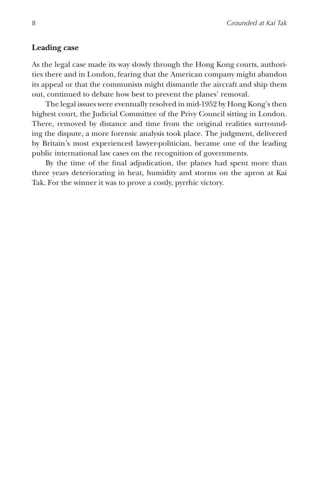### **Leading case**

As the legal case made its way slowly through the Hong Kong courts, authorities there and in London, fearing that the American company might abandon its appeal or that the communists might dismantle the aircraft and ship them out, continued to debate how best to prevent the planes' removal.

The legal issues were eventually resolved in mid-1952 by Hong Kong's then highest court, the Judicial Committee of the Privy Council sitting in London. There, removed by distance and time from the original realities surrounding the dispute, a more forensic analysis took place. The judgment, delivered by Britain's most experienced lawyer-politician, became one of the leading public international law cases on the recognition of governments.

By the time of the final adjudication, the planes had spent more than three years deteriorating in heat, humidity and storms on the apron at Kai Tak. For the winner it was to prove a costly, pyrrhic victory.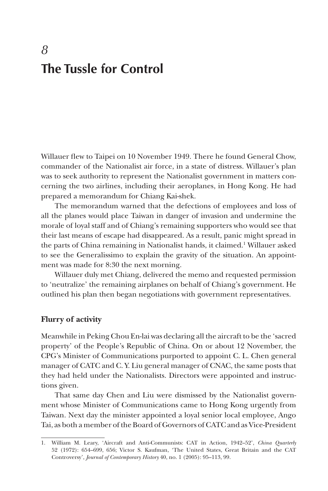## *8* **The Tussle for Control**

Willauer flew to Taipei on 10 November 1949. There he found General Chow, commander of the Nationalist air force, in a state of distress. Willauer's plan was to seek authority to represent the Nationalist government in matters concerning the two airlines, including their aeroplanes, in Hong Kong. He had prepared a memorandum for Chiang Kai-shek.

The memorandum warned that the defections of employees and loss of all the planes would place Taiwan in danger of invasion and undermine the morale of loyal staff and of Chiang's remaining supporters who would see that their last means of escape had disappeared. As a result, panic might spread in the parts of China remaining in Nationalist hands, it claimed.<sup>1</sup> Willauer asked to see the Generalissimo to explain the gravity of the situation. An appointment was made for 8:30 the next morning.

Willauer duly met Chiang, delivered the memo and requested permission to 'neutralize' the remaining airplanes on behalf of Chiang's government. He outlined his plan then began negotiations with government representatives.

### **Flurry of activity**

Meanwhile in Peking Chou En-lai was declaring all the aircraft to be the 'sacred property' of the People's Republic of China. On or about 12 November, the CPG's Minister of Communications purported to appoint C. L. Chen general manager of CATC and C. Y. Liu general manager of CNAC, the same posts that they had held under the Nationalists. Directors were appointed and instructions given.

That same day Chen and Liu were dismissed by the Nationalist government whose Minister of Communications came to Hong Kong urgently from Taiwan. Next day the minister appointed a loyal senior local employee, Ango Tai, as both a member of the Board of Governors of CATC and as Vice-President

<sup>1.</sup> William M. Leary, 'Aircraft and Anti-Communists: CAT in Action, 1942–52', *China Quarterly* 52 (1972): 654–699, 656; Victor S. Kaufman, 'The United States, Great Britain and the CAT Controversy', *Journal of Contemporary History* 40, no. 1 (2005): 95–113, 99.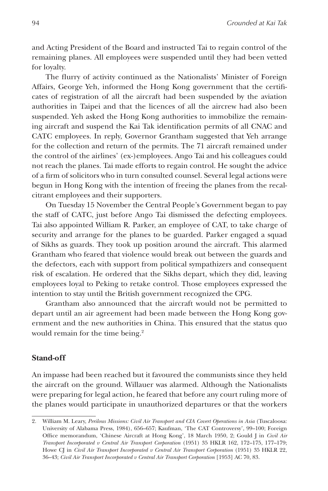and Acting President of the Board and instructed Tai to regain control of the remaining planes. All employees were suspended until they had been vetted for loyalty.

The flurry of activity continued as the Nationalists' Minister of Foreign Affairs, George Yeh, informed the Hong Kong government that the certificates of registration of all the aircraft had been suspended by the aviation authorities in Taipei and that the licences of all the aircrew had also been suspended. Yeh asked the Hong Kong authorities to immobilize the remaining aircraft and suspend the Kai Tak identification permits of all CNAC and CATC employees. In reply, Governor Grantham suggested that Yeh arrange for the collection and return of the permits. The 71 aircraft remained under the control of the airlines' (ex-)employees. Ango Tai and his colleagues could not reach the planes. Tai made efforts to regain control. He sought the advice of a firm of solicitors who in turn consulted counsel. Several legal actions were begun in Hong Kong with the intention of freeing the planes from the recalcitrant employees and their supporters.

On Tuesday 15 November the Central People's Government began to pay the staff of CATC, just before Ango Tai dismissed the defecting employees. Tai also appointed William R. Parker, an employee of CAT, to take charge of security and arrange for the planes to be guarded. Parker engaged a squad of Sikhs as guards. They took up position around the aircraft. This alarmed Grantham who feared that violence would break out between the guards and the defectors, each with support from political sympathizers and consequent risk of escalation. He ordered that the Sikhs depart, which they did, leaving employees loyal to Peking to retake control. Those employees expressed the intention to stay until the British government recognized the CPG.

Grantham also announced that the aircraft would not be permitted to depart until an air agreement had been made between the Hong Kong government and the new authorities in China. This ensured that the status quo would remain for the time being.<sup>2</sup>

### **Stand-off**

An impasse had been reached but it favoured the communists since they held the aircraft on the ground. Willauer was alarmed. Although the Nationalists were preparing for legal action, he feared that before any court ruling more of the planes would participate in unauthorized departures or that the workers

<sup>2.</sup> William M. Leary, *Perilous Missions: Civil Air Transport and CIA Covert Operations in Asia* (Tuscaloosa: University of Alabama Press, 1984), 656–657; Kaufman, 'The CAT Controversy', 99–100; Foreign Office memorandum, 'Chinese Aircraft at Hong Kong', 18 March 1950, 2; Gould J in *Civil Air Transport Incorporated v Central Air Transport Corporation* (1951) 35 HKLR 162, 172–175, 177–179; Howe CJ in *Civil Air Transport Incorporated v Central Air Transport Corporation* (1951) 35 HKLR 22, 36–43; *Civil Air Transport Incorporated v Central Air Transport Corporation* [1953] AC 70, 83.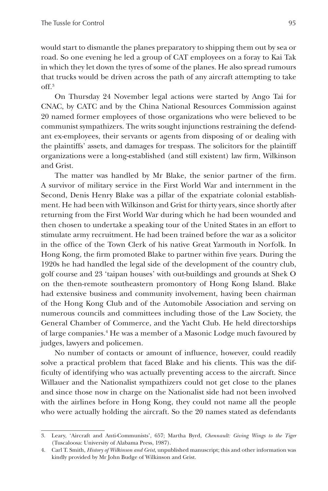would start to dismantle the planes preparatory to shipping them out by sea or road. So one evening he led a group of CAT employees on a foray to Kai Tak in which they let down the tyres of some of the planes. He also spread rumours that trucks would be driven across the path of any aircraft attempting to take off.3

On Thursday 24 November legal actions were started by Ango Tai for CNAC, by CATC and by the China National Resources Commission against 20 named former employees of those organizations who were believed to be communist sympathizers. The writs sought injunctions restraining the defendant ex-employees, their servants or agents from disposing of or dealing with the plaintiffs' assets, and damages for trespass. The solicitors for the plaintiff organizations were a long-established (and still existent) law firm, Wilkinson and Grist.

The matter was handled by Mr Blake, the senior partner of the firm. A survivor of military service in the First World War and internment in the Second, Denis Henry Blake was a pillar of the expatriate colonial establishment. He had been with Wilkinson and Grist for thirty years, since shortly after returning from the First World War during which he had been wounded and then chosen to undertake a speaking tour of the United States in an effort to stimulate army recruitment. He had been trained before the war as a solicitor in the office of the Town Clerk of his native Great Yarmouth in Norfolk. In Hong Kong, the firm promoted Blake to partner within five years. During the 1920s he had handled the legal side of the development of the country club, golf course and 23 'taipan houses' with out-buildings and grounds at Shek O on the then-remote southeastern promontory of Hong Kong Island. Blake had extensive business and community involvement, having been chairman of the Hong Kong Club and of the Automobile Association and serving on numerous councils and committees including those of the Law Society, the General Chamber of Commerce, and the Yacht Club. He held directorships of large companies.4 He was a member of a Masonic Lodge much favoured by judges, lawyers and policemen.

No number of contacts or amount of influence, however, could readily solve a practical problem that faced Blake and his clients. This was the difficulty of identifying who was actually preventing access to the aircraft. Since Willauer and the Nationalist sympathizers could not get close to the planes and since those now in charge on the Nationalist side had not been involved with the airlines before in Hong Kong, they could not name all the people who were actually holding the aircraft. So the 20 names stated as defendants

<sup>3.</sup> Leary, 'Aircraft and Anti-Communists', 657; Martha Byrd, *Chennault: Giving Wings to the Tiger* (Tuscaloosa: University of Alabama Press, 1987).

<sup>4.</sup> Carl T. Smith, *History of Wilkinson and Grist*, unpublished manuscript; this and other information was kindly provided by Mr John Budge of Wilkinson and Grist.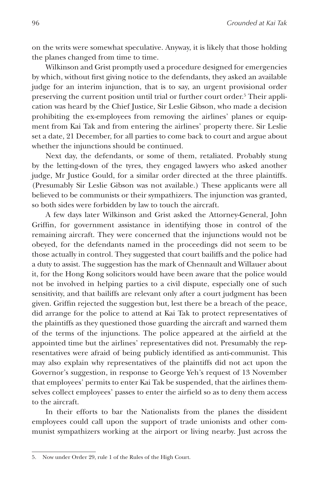on the writs were somewhat speculative. Anyway, it is likely that those holding the planes changed from time to time.

Wilkinson and Grist promptly used a procedure designed for emergencies by which, without first giving notice to the defendants, they asked an available judge for an interim injunction, that is to say, an urgent provisional order preserving the current position until trial or further court order.<sup>5</sup> Their application was heard by the Chief Justice, Sir Leslie Gibson, who made a decision prohibiting the ex-employees from removing the airlines' planes or equipment from Kai Tak and from entering the airlines' property there. Sir Leslie set a date, 21 December, for all parties to come back to court and argue about whether the injunctions should be continued.

Next day, the defendants, or some of them, retaliated. Probably stung by the letting-down of the tyres, they engaged lawyers who asked another judge, Mr Justice Gould, for a similar order directed at the three plaintiffs. (Presumably Sir Leslie Gibson was not available.) These applicants were all believed to be communists or their sympathizers. The injunction was granted, so both sides were forbidden by law to touch the aircraft.

A few days later Wilkinson and Grist asked the Attorney-General, John Griffin, for government assistance in identifying those in control of the remaining aircraft. They were concerned that the injunctions would not be obeyed, for the defendants named in the proceedings did not seem to be those actually in control. They suggested that court bailiffs and the police had a duty to assist. The suggestion has the mark of Chennault and Willauer about it, for the Hong Kong solicitors would have been aware that the police would not be involved in helping parties to a civil dispute, especially one of such sensitivity, and that bailiffs are relevant only after a court judgment has been given. Griffin rejected the suggestion but, lest there be a breach of the peace, did arrange for the police to attend at Kai Tak to protect representatives of the plaintiffs as they questioned those guarding the aircraft and warned them of the terms of the injunctions. The police appeared at the airfield at the appointed time but the airlines' representatives did not. Presumably the representatives were afraid of being publicly identified as anti-communist. This may also explain why representatives of the plaintiffs did not act upon the Governor's suggestion, in response to George Yeh's request of 13 November that employees' permits to enter Kai Tak be suspended, that the airlines themselves collect employees' passes to enter the airfield so as to deny them access to the aircraft.

In their efforts to bar the Nationalists from the planes the dissident employees could call upon the support of trade unionists and other communist sympathizers working at the airport or living nearby. Just across the

<sup>5.</sup> Now under Order 29, rule 1 of the Rules of the High Court.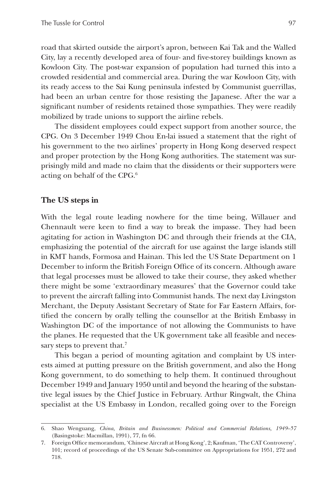road that skirted outside the airport's apron, between Kai Tak and the Walled City, lay a recently developed area of four- and five-storey buildings known as Kowloon City. The post-war expansion of population had turned this into a crowded residential and commercial area. During the war Kowloon City, with its ready access to the Sai Kung peninsula infested by Communist guerrillas, had been an urban centre for those resisting the Japanese. After the war a significant number of residents retained those sympathies. They were readily mobilized by trade unions to support the airline rebels.

The dissident employees could expect support from another source, the CPG. On 3 December 1949 Chou En-lai issued a statement that the right of his government to the two airlines' property in Hong Kong deserved respect and proper protection by the Hong Kong authorities. The statement was surprisingly mild and made no claim that the dissidents or their supporters were acting on behalf of the CPG.6

### **The US steps in**

With the legal route leading nowhere for the time being, Willauer and Chennault were keen to find a way to break the impasse. They had been agitating for action in Washington DC and through their friends at the CIA, emphasizing the potential of the aircraft for use against the large islands still in KMT hands, Formosa and Hainan. This led the US State Department on 1 December to inform the British Foreign Office of its concern. Although aware that legal processes must be allowed to take their course, they asked whether there might be some 'extraordinary measures' that the Governor could take to prevent the aircraft falling into Communist hands. The next day Livingston Merchant, the Deputy Assistant Secretary of State for Far Eastern Affairs, fortified the concern by orally telling the counsellor at the British Embassy in Washington DC of the importance of not allowing the Communists to have the planes. He requested that the UK government take all feasible and necessary steps to prevent that.<sup>7</sup>

This began a period of mounting agitation and complaint by US interests aimed at putting pressure on the British government, and also the Hong Kong government, to do something to help them. It continued throughout December 1949 and January 1950 until and beyond the hearing of the substantive legal issues by the Chief Justice in February. Arthur Ringwalt, the China specialist at the US Embassy in London, recalled going over to the Foreign

<sup>6.</sup> Shao Wenguang, *China, Britain and Businessmen: Political and Commercial Relations, 1949–57* (Basingstoke: Macmillan, 1991), 77, fn 66.

<sup>7.</sup> Foreign Office memorandum, 'Chinese Aircraft at Hong Kong', 2; Kaufman, 'The CAT Controversy', 101; record of proceedings of the US Senate Sub-committee on Appropriations for 1951, 272 and 718.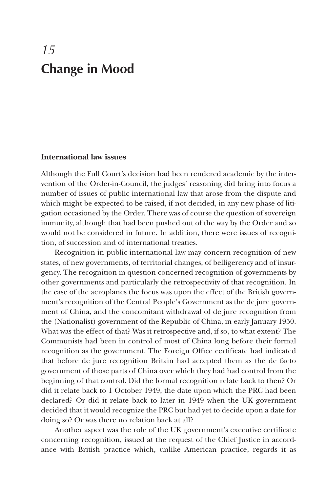# *15* **Change in Mood**

### **International law issues**

Although the Full Court's decision had been rendered academic by the intervention of the Order-in-Council, the judges' reasoning did bring into focus a number of issues of public international law that arose from the dispute and which might be expected to be raised, if not decided, in any new phase of litigation occasioned by the Order. There was of course the question of sovereign immunity, although that had been pushed out of the way by the Order and so would not be considered in future. In addition, there were issues of recognition, of succession and of international treaties.

Recognition in public international law may concern recognition of new states, of new governments, of territorial changes, of belligerency and of insurgency. The recognition in question concerned recognition of governments by other governments and particularly the retrospectivity of that recognition. In the case of the aeroplanes the focus was upon the effect of the British government's recognition of the Central People's Government as the de jure government of China, and the concomitant withdrawal of de jure recognition from the (Nationalist) government of the Republic of China, in early January 1950. What was the effect of that? Was it retrospective and, if so, to what extent? The Communists had been in control of most of China long before their formal recognition as the government. The Foreign Office certificate had indicated that before de jure recognition Britain had accepted them as the de facto government of those parts of China over which they had had control from the beginning of that control. Did the formal recognition relate back to then? Or did it relate back to 1 October 1949, the date upon which the PRC had been declared? Or did it relate back to later in 1949 when the UK government decided that it would recognize the PRC but had yet to decide upon a date for doing so? Or was there no relation back at all?

Another aspect was the role of the UK government's executive certificate concerning recognition, issued at the request of the Chief Justice in accordance with British practice which, unlike American practice, regards it as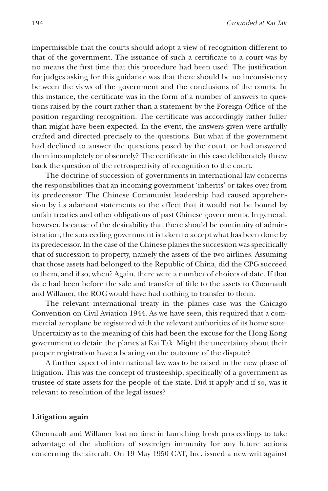impermissible that the courts should adopt a view of recognition different to that of the government. The issuance of such a certificate to a court was by no means the first time that this procedure had been used. The justification for judges asking for this guidance was that there should be no inconsistency between the views of the government and the conclusions of the courts. In this instance, the certificate was in the form of a number of answers to questions raised by the court rather than a statement by the Foreign Office of the position regarding recognition. The certificate was accordingly rather fuller than might have been expected. In the event, the answers given were artfully crafted and directed precisely to the questions. But what if the government had declined to answer the questions posed by the court, or had answered them incompletely or obscurely? The certificate in this case deliberately threw back the question of the retrospectivity of recognition to the court.

The doctrine of succession of governments in international law concerns the responsibilities that an incoming government 'inherits' or takes over from its predecessor. The Chinese Communist leadership had caused apprehension by its adamant statements to the effect that it would not be bound by unfair treaties and other obligations of past Chinese governments. In general, however, because of the desirability that there should be continuity of administration, the succeeding government is taken to accept what has been done by its predecessor. In the case of the Chinese planes the succession was specifically that of succession to property, namely the assets of the two airlines. Assuming that those assets had belonged to the Republic of China, did the CPG succeed to them, and if so, when? Again, there were a number of choices of date. If that date had been before the sale and transfer of title to the assets to Chennault and Willauer, the ROC would have had nothing to transfer to them.

The relevant international treaty in the planes case was the Chicago Convention on Civil Aviation 1944. As we have seen, this required that a commercial aeroplane be registered with the relevant authorities of its home state. Uncertainty as to the meaning of this had been the excuse for the Hong Kong government to detain the planes at Kai Tak. Might the uncertainty about their proper registration have a bearing on the outcome of the dispute?

A further aspect of international law was to be raised in the new phase of litigation. This was the concept of trusteeship, specifically of a government as trustee of state assets for the people of the state. Did it apply and if so, was it relevant to resolution of the legal issues?

### **Litigation again**

Chennault and Willauer lost no time in launching fresh proceedings to take advantage of the abolition of sovereign immunity for any future actions concerning the aircraft. On 19 May 1950 CAT, Inc. issued a new writ against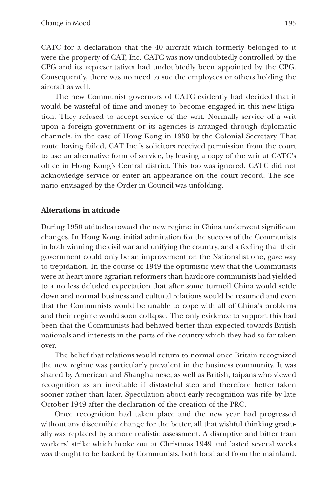CATC for a declaration that the 40 aircraft which formerly belonged to it were the property of CAT, Inc. CATC was now undoubtedly controlled by the CPG and its representatives had undoubtedly been appointed by the CPG. Consequently, there was no need to sue the employees or others holding the aircraft as well.

The new Communist governors of CATC evidently had decided that it would be wasteful of time and money to become engaged in this new litigation. They refused to accept service of the writ. Normally service of a writ upon a foreign government or its agencies is arranged through diplomatic channels, in the case of Hong Kong in 1950 by the Colonial Secretary. That route having failed, CAT Inc.'s solicitors received permission from the court to use an alternative form of service, by leaving a copy of the writ at CATC's office in Hong Kong's Central district. This too was ignored. CATC did not acknowledge service or enter an appearance on the court record. The scenario envisaged by the Order-in-Council was unfolding.

## **Alterations in attitude**

During 1950 attitudes toward the new regime in China underwent significant changes. In Hong Kong, initial admiration for the success of the Communists in both winning the civil war and unifying the country, and a feeling that their government could only be an improvement on the Nationalist one, gave way to trepidation. In the course of 1949 the optimistic view that the Communists were at heart more agrarian reformers than hardcore communists had yielded to a no less deluded expectation that after some turmoil China would settle down and normal business and cultural relations would be resumed and even that the Communists would be unable to cope with all of China's problems and their regime would soon collapse. The only evidence to support this had been that the Communists had behaved better than expected towards British nationals and interests in the parts of the country which they had so far taken over.

The belief that relations would return to normal once Britain recognized the new regime was particularly prevalent in the business community. It was shared by American and Shanghainese, as well as British, taipans who viewed recognition as an inevitable if distasteful step and therefore better taken sooner rather than later. Speculation about early recognition was rife by late October 1949 after the declaration of the creation of the PRC.

Once recognition had taken place and the new year had progressed without any discernible change for the better, all that wishful thinking gradually was replaced by a more realistic assessment. A disruptive and bitter tram workers' strike which broke out at Christmas 1949 and lasted several weeks was thought to be backed by Communists, both local and from the mainland.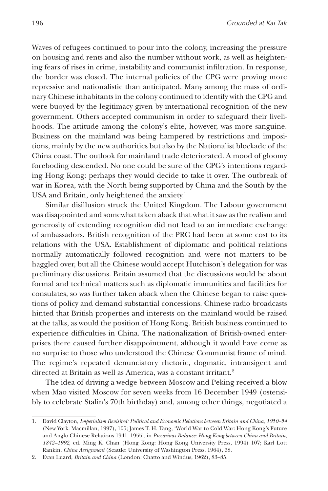Waves of refugees continued to pour into the colony, increasing the pressure on housing and rents and also the number without work, as well as heightening fears of rises in crime, instability and communist infiltration. In response, the border was closed. The internal policies of the CPG were proving more repressive and nationalistic than anticipated. Many among the mass of ordinary Chinese inhabitants in the colony continued to identify with the CPG and were buoyed by the legitimacy given by international recognition of the new government. Others accepted communism in order to safeguard their livelihoods. The attitude among the colony's elite, however, was more sanguine. Business on the mainland was being hampered by restrictions and impositions, mainly by the new authorities but also by the Nationalist blockade of the China coast. The outlook for mainland trade deteriorated. A mood of gloomy foreboding descended. No one could be sure of the CPG's intentions regarding Hong Kong: perhaps they would decide to take it over. The outbreak of war in Korea, with the North being supported by China and the South by the USA and Britain, only heightened the anxiety.<sup>1</sup>

Similar disillusion struck the United Kingdom. The Labour government was disappointed and somewhat taken aback that what it saw as the realism and generosity of extending recognition did not lead to an immediate exchange of ambassadors. British recognition of the PRC had been at some cost to its relations with the USA. Establishment of diplomatic and political relations normally automatically followed recognition and were not matters to be haggled over, but all the Chinese would accept Hutchison's delegation for was preliminary discussions. Britain assumed that the discussions would be about formal and technical matters such as diplomatic immunities and facilities for consulates, so was further taken aback when the Chinese began to raise questions of policy and demand substantial concessions. Chinese radio broadcasts hinted that British properties and interests on the mainland would be raised at the talks, as would the position of Hong Kong. British business continued to experience difficulties in China. The nationalization of British-owned enterprises there caused further disappointment, although it would have come as no surprise to those who understood the Chinese Communist frame of mind. The regime's repeated denunciatory rhetoric, dogmatic, intransigent and directed at Britain as well as America, was a constant irritant.<sup>2</sup>

The idea of driving a wedge between Moscow and Peking received a blow when Mao visited Moscow for seven weeks from 16 December 1949 (ostensibly to celebrate Stalin's 70th birthday) and, among other things, negotiated a

<sup>1.</sup> David Clayton, *Imperialism Revisited: Political and Economic Relations between Britain and China, 1950–54* (New York: Macmillan, 1997), 105; James T. H. Tang, 'World War to Cold War: Hong Kong's Future and Anglo-Chinese Relations 1941–1955', in *Precarious Balance: Hong Kong between China and Britain, 1842–1992*, ed. Ming K. Chan (Hong Kong: Hong Kong University Press, 1994) 107; Karl Lott Rankin, *China Assignment* (Seattle: University of Washington Press, 1964), 38.

<sup>2.</sup> Evan Luard, *Britain and China* (London: Chatto and Windus, 1962), 83–85.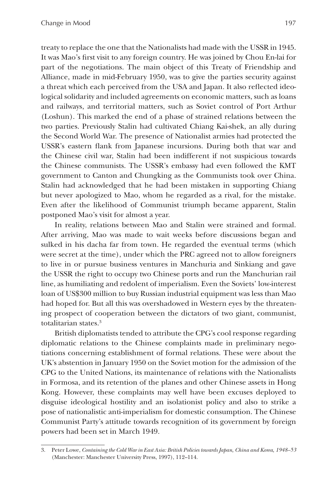treaty to replace the one that the Nationalists had made with the USSR in 1945. It was Mao's first visit to any foreign country. He was joined by Chou En-lai for part of the negotiations. The main object of this Treaty of Friendship and Alliance, made in mid-February 1950, was to give the parties security against a threat which each perceived from the USA and Japan. It also reflected ideological solidarity and included agreements on economic matters, such as loans and railways, and territorial matters, such as Soviet control of Port Arthur (Loshun). This marked the end of a phase of strained relations between the two parties. Previously Stalin had cultivated Chiang Kai-shek, an ally during the Second World War. The presence of Nationalist armies had protected the USSR's eastern flank from Japanese incursions. During both that war and the Chinese civil war, Stalin had been indifferent if not suspicious towards the Chinese communists. The USSR's embassy had even followed the KMT government to Canton and Chungking as the Communists took over China. Stalin had acknowledged that he had been mistaken in supporting Chiang but never apologized to Mao, whom he regarded as a rival, for the mistake. Even after the likelihood of Communist triumph became apparent, Stalin postponed Mao's visit for almost a year.

In reality, relations between Mao and Stalin were strained and formal. After arriving, Mao was made to wait weeks before discussions began and sulked in his dacha far from town. He regarded the eventual terms (which were secret at the time), under which the PRC agreed not to allow foreigners to live in or pursue business ventures in Manchuria and Sinkiang and gave the USSR the right to occupy two Chinese ports and run the Manchurian rail line, as humiliating and redolent of imperialism. Even the Soviets' low-interest loan of US\$300 million to buy Russian industrial equipment was less than Mao had hoped for. But all this was overshadowed in Western eyes by the threatening prospect of cooperation between the dictators of two giant, communist, totalitarian states.3

British diplomatists tended to attribute the CPG's cool response regarding diplomatic relations to the Chinese complaints made in preliminary negotiations concerning establishment of formal relations. These were about the UK's abstention in January 1950 on the Soviet motion for the admission of the CPG to the United Nations, its maintenance of relations with the Nationalists in Formosa, and its retention of the planes and other Chinese assets in Hong Kong. However, these complaints may well have been excuses deployed to disguise ideological hostility and an isolationist policy and also to strike a pose of nationalistic anti-imperialism for domestic consumption. The Chinese Communist Party's attitude towards recognition of its government by foreign powers had been set in March 1949.

<sup>3.</sup> Peter Lowe, *Containing the Cold War in East Asia: British Policies towards Japan, China and Korea, 1948–53* (Manchester: Manchester University Press, 1997), 112–114.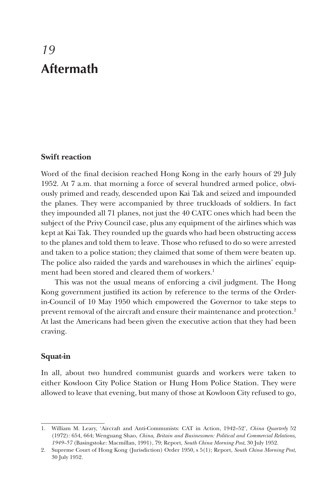# *19* **Aftermath**

## **Swift reaction**

Word of the final decision reached Hong Kong in the early hours of 29 July 1952. At 7 a.m. that morning a force of several hundred armed police, obviously primed and ready, descended upon Kai Tak and seized and impounded the planes. They were accompanied by three truckloads of soldiers. In fact they impounded all 71 planes, not just the 40 CATC ones which had been the subject of the Privy Council case, plus any equipment of the airlines which was kept at Kai Tak. They rounded up the guards who had been obstructing access to the planes and told them to leave. Those who refused to do so were arrested and taken to a police station; they claimed that some of them were beaten up. The police also raided the yards and warehouses in which the airlines' equipment had been stored and cleared them of workers.<sup>1</sup>

This was not the usual means of enforcing a civil judgment. The Hong Kong government justified its action by reference to the terms of the Orderin-Council of 10 May 1950 which empowered the Governor to take steps to prevent removal of the aircraft and ensure their maintenance and protection.<sup>2</sup> At last the Americans had been given the executive action that they had been craving.

### **Squat-in**

In all, about two hundred communist guards and workers were taken to either Kowloon City Police Station or Hung Hom Police Station. They were allowed to leave that evening, but many of those at Kowloon City refused to go,

<sup>1.</sup> William M. Leary, 'Aircraft and Anti-Communists: CAT in Action, 1942–52', *China Quarterly* 52 (1972): 654, 664; Wenguang Shao, *China, Britain and Businessmen: Political and Commercial Relations, 1949–57* (Basingstoke: Macmillan, 1991), 79; Report, *South China Morning Post*, 30 July 1952.

<sup>2.</sup> Supreme Court of Hong Kong (Jurisdiction) Order 1950, s 5(1); Report, *South China Morning Post*, 30 July 1952.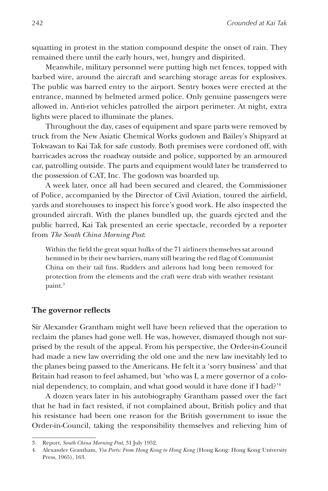squatting in protest in the station compound despite the onset of rain. They remained there until the early hours, wet, hungry and dispirited.

Meanwhile, military personnel were putting high net fences, topped with barbed wire, around the aircraft and searching storage areas for explosives. The public was barred entry to the airport. Sentry boxes were erected at the entrance, manned by helmeted armed police. Only genuine passengers were allowed in. Anti-riot vehicles patrolled the airport perimeter. At night, extra lights were placed to illuminate the planes.

Throughout the day, cases of equipment and spare parts were removed by truck from the New Asiatic Chemical Works godown and Bailey's Shipyard at Tokwawan to Kai Tak for safe custody. Both premises were cordoned off, with barricades across the roadway outside and police, supported by an armoured car, patrolling outside. The parts and equipment would later be transferred to the possession of CAT, Inc. The godown was boarded up.

A week later, once all had been secured and cleared, the Commissioner of Police, accompanied by the Director of Civil Aviation, toured the airfield, yards and storehouses to inspect his force's good work. He also inspected the grounded aircraft. With the planes bundled up, the guards ejected and the public barred, Kai Tak presented an eerie spectacle, recorded by a reporter from *The South China Morning Post*:

Within the field the great squat hulks of the 71 airliners themselves sat around hemmed in by their new barriers, many still bearing the red flag of Communist China on their tail fins. Rudders and ailerons had long been removed for protection from the elements and the craft were drab with weather resistant paint.<sup>3</sup>

### **The governor reflects**

Sir Alexander Grantham might well have been relieved that the operation to reclaim the planes had gone well. He was, however, dismayed though not surprised by the result of the appeal. From his perspective, the Order-in-Council had made a new law overriding the old one and the new law inevitably led to the planes being passed to the Americans. He felt it a 'sorry business' and that Britain had reason to feel ashamed, but 'who was I, a mere governor of a colonial dependency, to complain, and what good would it have done if I had?'4

A dozen years later in his autobiography Grantham passed over the fact that he had in fact resisted, if not complained about, British policy and that his resistance had been one reason for the British government to issue the Order-in-Council, taking the responsibility themselves and relieving him of

<sup>3.</sup> Report, *South China Morning Post*, 31 July 1952.

<sup>4.</sup> Alexander Grantham, *Via Ports: From Hong Kong to Hong Kong* (Hong Kong: Hong Kong University Press, 1965), 163.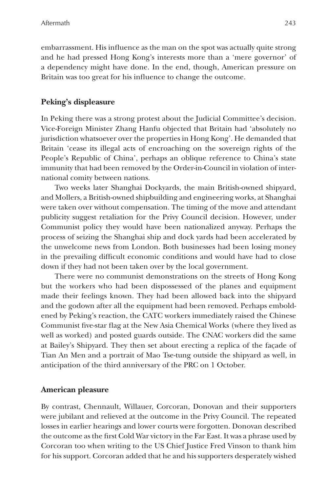embarrassment. His influence as the man on the spot was actually quite strong and he had pressed Hong Kong's interests more than a 'mere governor' of a dependency might have done. In the end, though, American pressure on Britain was too great for his influence to change the outcome.

## **Peking's displeasure**

In Peking there was a strong protest about the Judicial Committee's decision. Vice-Foreign Minister Zhang Hanfu objected that Britain had 'absolutely no jurisdiction whatsoever over the properties in Hong Kong'. He demanded that Britain 'cease its illegal acts of encroaching on the sovereign rights of the People's Republic of China', perhaps an oblique reference to China's state immunity that had been removed by the Order-in-Council in violation of international comity between nations.

Two weeks later Shanghai Dockyards, the main British-owned shipyard, and Mollers, a British-owned shipbuilding and engineering works, at Shanghai were taken over without compensation. The timing of the move and attendant publicity suggest retaliation for the Privy Council decision. However, under Communist policy they would have been nationalized anyway. Perhaps the process of seizing the Shanghai ship and dock yards had been accelerated by the unwelcome news from London. Both businesses had been losing money in the prevailing difficult economic conditions and would have had to close down if they had not been taken over by the local government.

There were no communist demonstrations on the streets of Hong Kong but the workers who had been dispossessed of the planes and equipment made their feelings known. They had been allowed back into the shipyard and the godown after all the equipment had been removed. Perhaps emboldened by Peking's reaction, the CATC workers immediately raised the Chinese Communist five-star flag at the New Asia Chemical Works (where they lived as well as worked) and posted guards outside. The CNAC workers did the same at Bailey's Shipyard. They then set about erecting a replica of the façade of Tian An Men and a portrait of Mao Tse-tung outside the shipyard as well, in anticipation of the third anniversary of the PRC on 1 October.

### **American pleasure**

By contrast, Chennault, Willauer, Corcoran, Donovan and their supporters were jubilant and relieved at the outcome in the Privy Council. The repeated losses in earlier hearings and lower courts were forgotten. Donovan described the outcome as the first Cold War victory in the Far East. It was a phrase used by Corcoran too when writing to the US Chief Justice Fred Vinson to thank him for his support. Corcoran added that he and his supporters desperately wished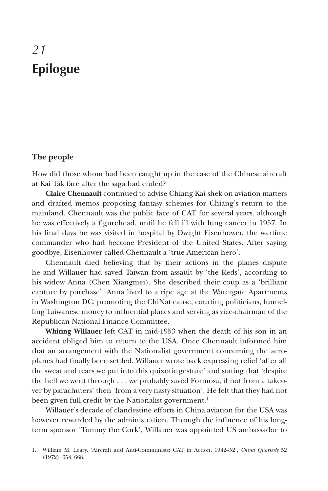# *21* **Epilogue**

### **The people**

How did those whom had been caught up in the case of the Chinese aircraft at Kai Tak fare after the saga had ended?

**Claire Chennault** continued to advise Chiang Kai-shek on aviation matters and drafted memos proposing fantasy schemes for Chiang's return to the mainland. Chennault was the public face of CAT for several years, although he was effectively a figurehead, until he fell ill with lung cancer in 1957. In his final days he was visited in hospital by Dwight Eisenhower, the wartime commander who had become President of the United States. After saying goodbye, Eisenhower called Chennault a 'true American hero'.

Chennault died believing that by their actions in the planes dispute he and Willauer had saved Taiwan from assault by 'the Reds', according to his widow Anna (Chen Xiangmei). She described their coup as a 'brilliant capture by purchase'. Anna lived to a ripe age at the Watergate Apartments in Washington DC, promoting the ChiNat cause, courting politicians, funnelling Taiwanese money to influential places and serving as vice-chairman of the Republican National Finance Committee.

**Whiting Willauer** left CAT in mid-1953 when the death of his son in an accident obliged him to return to the USA. Once Chennault informed him that an arrangement with the Nationalist government concerning the aeroplanes had finally been settled, Willauer wrote back expressing relief 'after all the sweat and tears we put into this quixotic gesture' and stating that 'despite the hell we went through . . . we probably saved Formosa, if not from a takeover by parachuters' then 'from a very nasty situation'. He felt that they had not been given full credit by the Nationalist government.<sup>1</sup>

Willauer's decade of clandestine efforts in China aviation for the USA was however rewarded by the administration. Through the influence of his longterm sponsor 'Tommy the Cork', Willauer was appointed US ambassador to

<sup>1.</sup> William M. Leary, 'Aircraft and Anti-Communists: CAT in Action, 1942–52', *China Quarterly* 52 (1972): 654, 668.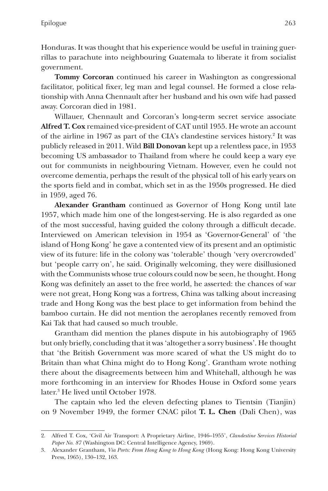Honduras. It was thought that his experience would be useful in training guerrillas to parachute into neighbouring Guatemala to liberate it from socialist government.

**Tommy Corcoran** continued his career in Washington as congressional facilitator, political fixer, leg man and legal counsel. He formed a close relationship with Anna Chennault after her husband and his own wife had passed away. Corcoran died in 1981.

Willauer, Chennault and Corcoran's long-term secret service associate **Alfred T. Cox** remained vice-president of CAT until 1955. He wrote an account of the airline in 1967 as part of the CIA's clandestine services history.<sup>2</sup> It was publicly released in 2011. Wild **Bill Donovan** kept up a relentless pace, in 1953 becoming US ambassador to Thailand from where he could keep a wary eye out for communists in neighbouring Vietnam. However, even he could not overcome dementia, perhaps the result of the physical toll of his early years on the sports field and in combat, which set in as the 1950s progressed. He died in 1959, aged 76.

**Alexander Grantham** continued as Governor of Hong Kong until late 1957, which made him one of the longest-serving. He is also regarded as one of the most successful, having guided the colony through a difficult decade. Interviewed on American television in 1954 as 'Governor-General' of 'the island of Hong Kong' he gave a contented view of its present and an optimistic view of its future: life in the colony was 'tolerable' though 'very overcrowded' but 'people carry on', he said. Originally welcoming, they were disillusioned with the Communists whose true colours could now be seen, he thought. Hong Kong was definitely an asset to the free world, he asserted: the chances of war were not great, Hong Kong was a fortress, China was talking about increasing trade and Hong Kong was the best place to get information from behind the bamboo curtain. He did not mention the aeroplanes recently removed from Kai Tak that had caused so much trouble.

Grantham did mention the planes dispute in his autobiography of 1965 but only briefly, concluding that it was 'altogether a sorry business'. He thought that 'the British Government was more scared of what the US might do to Britain than what China might do to Hong Kong'. Grantham wrote nothing there about the disagreements between him and Whitehall, although he was more forthcoming in an interview for Rhodes House in Oxford some years later.3 He lived until October 1978.

The captain who led the eleven defecting planes to Tientsin (Tianjin) on 9 November 1949, the former CNAC pilot **T. L. Chen** (Dali Chen), was

<sup>2.</sup> Alfred T. Cox, 'Civil Air Transport: A Proprietary Airline, 1946–1955', *Clandestine Services Historial Paper No. 87* (Washington DC: Central Intelligence Agency, 1969).

<sup>3.</sup> Alexander Grantham, *Via Ports: From Hong Kong to Hong Kong* (Hong Kong: Hong Kong University Press, 1965), 130–132, 163.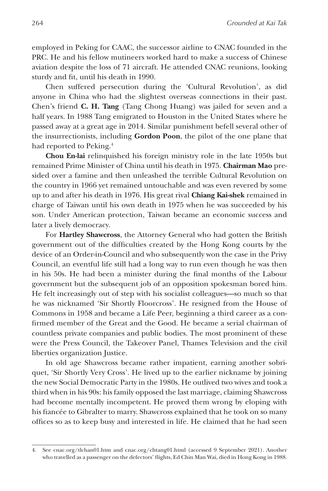employed in Peking for CAAC, the successor airline to CNAC founded in the PRC. He and his fellow mutineers worked hard to make a success of Chinese aviation despite the loss of 71 aircraft. He attended CNAC reunions, looking sturdy and fit, until his death in 1990.

Chen suffered persecution during the 'Cultural Revolution', as did anyone in China who had the slightest overseas connections in their past. Chen's friend **C. H. Tang** (Tang Chong Huang) was jailed for seven and a half years. In 1988 Tang emigrated to Houston in the United States where he passed away at a great age in 2014. Similar punishment befell several other of the insurrectionists, including **Gordon Poon**, the pilot of the one plane that had reported to Peking.<sup>4</sup>

**Chou En-lai** relinquished his foreign ministry role in the late 1950s but remained Prime Minister of China until his death in 1975. **Chairman Mao** presided over a famine and then unleashed the terrible Cultural Revolution on the country in 1966 yet remained untouchable and was even revered by some up to and after his death in 1976. His great rival **Chiang Kai-shek** remained in charge of Taiwan until his own death in 1975 when he was succeeded by his son. Under American protection, Taiwan became an economic success and later a lively democracy.

For **Hartley Shawcross**, the Attorney General who had gotten the British government out of the difficulties created by the Hong Kong courts by the device of an Order-in-Council and who subsequently won the case in the Privy Council, an eventful life still had a long way to run even though he was then in his 50s. He had been a minister during the final months of the Labour government but the subsequent job of an opposition spokesman bored him. He felt increasingly out of step with his socialist colleagues—so much so that he was nicknamed 'Sir Shortly Floorcross'. He resigned from the House of Commons in 1958 and became a Life Peer, beginning a third career as a confirmed member of the Great and the Good. He became a serial chairman of countless private companies and public bodies. The most prominent of these were the Press Council, the Takeover Panel, Thames Television and the civil liberties organization Justice.

In old age Shawcross became rather impatient, earning another sobriquet, 'Sir Shortly Very Cross'. He lived up to the earlier nickname by joining the new Social Democratic Party in the 1980s. He outlived two wives and took a third when in his 90s: his family opposed the last marriage, claiming Shawcross had become mentally incompetent. He proved them wrong by eloping with his fiancée to Gibralter to marry. Shawcross explained that he took on so many offices so as to keep busy and interested in life. He claimed that he had seen

<sup>4.</sup> See cnac.org/tlchan01.htm and cnac.org/chtang01.html (accessed 9 September 2021). Another who travelled as a passenger on the defectors' flights, Ed Chin Man Wai, died in Hong Kong in 1988.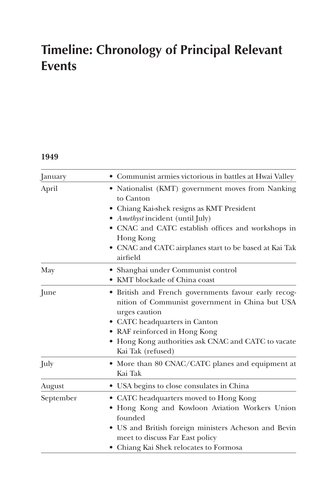## **Timeline: Chronology of Principal Relevant Events**

## **1949**

| January   | Communist armies victorious in battles at Hwai Valley                                                                                                                                                                                                                                        |
|-----------|----------------------------------------------------------------------------------------------------------------------------------------------------------------------------------------------------------------------------------------------------------------------------------------------|
| April     | Nationalist (KMT) government moves from Nanking<br>to Canton<br>• Chiang Kai-shek resigns as KMT President<br><i>Amethyst</i> incident (until July)<br>• CNAC and CATC establish offices and workshops in<br>Hong Kong<br>• CNAC and CATC airplanes start to be based at Kai Tak<br>airfield |
| May       | • Shanghai under Communist control<br>• KMT blockade of China coast                                                                                                                                                                                                                          |
| June      | • British and French governments favour early recog-<br>nition of Communist government in China but USA<br>urges caution<br>• CATC headquarters in Canton<br>• RAF reinforced in Hong Kong<br>• Hong Kong authorities ask CNAC and CATC to vacate<br>Kai Tak (refused)                       |
| July      | More than 80 CNAC/CATC planes and equipment at<br>Kai Tak                                                                                                                                                                                                                                    |
| August    | • USA begins to close consulates in China                                                                                                                                                                                                                                                    |
| September | CATC headquarters moved to Hong Kong<br>Hong Kong and Kowloon Aviation Workers Union<br>founded<br>• US and British foreign ministers Acheson and Bevin<br>meet to discuss Far East policy<br>• Chiang Kai Shek relocates to Formosa                                                         |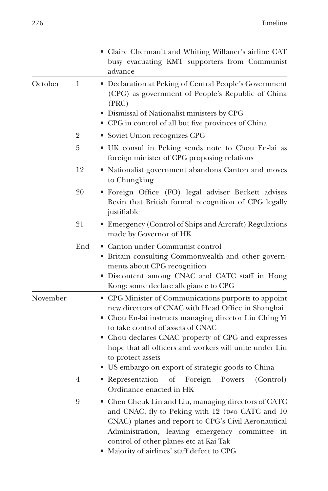|          |                | • Claire Chennault and Whiting Willauer's airline CAT<br>busy evacuating KMT supporters from Communist<br>advance                                                                                                                                                                                                                                                                                     |  |
|----------|----------------|-------------------------------------------------------------------------------------------------------------------------------------------------------------------------------------------------------------------------------------------------------------------------------------------------------------------------------------------------------------------------------------------------------|--|
| October  | 1              | · Declaration at Peking of Central People's Government<br>(CPG) as government of People's Republic of China<br>(PRC)<br>• Dismissal of Nationalist ministers by CPG<br>• CPG in control of all but five provinces of China                                                                                                                                                                            |  |
|          | $\overline{2}$ | • Soviet Union recognizes CPG                                                                                                                                                                                                                                                                                                                                                                         |  |
|          | 5              | · UK consul in Peking sends note to Chou En-lai as<br>foreign minister of CPG proposing relations                                                                                                                                                                                                                                                                                                     |  |
|          | 12             | • Nationalist government abandons Canton and moves<br>to Chungking                                                                                                                                                                                                                                                                                                                                    |  |
|          | 20             | · Foreign Office (FO) legal adviser Beckett advises<br>Bevin that British formal recognition of CPG legally<br>justifiable                                                                                                                                                                                                                                                                            |  |
|          | 21             | • Emergency (Control of Ships and Aircraft) Regulations<br>made by Governor of HK                                                                                                                                                                                                                                                                                                                     |  |
|          | End            | • Canton under Communist control<br>• Britain consulting Commonwealth and other govern-<br>ments about CPG recognition<br>• Discontent among CNAC and CATC staff in Hong<br>Kong: some declare allegiance to CPG                                                                                                                                                                                      |  |
| November |                | • CPG Minister of Communications purports to appoint<br>new directors of CNAC with Head Office in Shanghai<br>• Chou En-lai instructs managing director Liu Ching Yi<br>to take control of assets of CNAC<br>• Chou declares CNAC property of CPG and expresses<br>hope that all officers and workers will unite under Liu<br>to protect assets<br>• US embargo on export of strategic goods to China |  |
|          | 4              | • Representation<br>Foreign<br>of<br>Powers<br>(Control)<br>Ordinance enacted in HK                                                                                                                                                                                                                                                                                                                   |  |
|          | 9              | • Chen Cheuk Lin and Liu, managing directors of CATC<br>and CNAC, fly to Peking with 12 (two CATC and 10<br>CNAC) planes and report to CPG's Civil Aeronautical<br>Administration, leaving emergency committee<br>in<br>control of other planes etc at Kai Tak<br>• Majority of airlines' staff defect to CPG                                                                                         |  |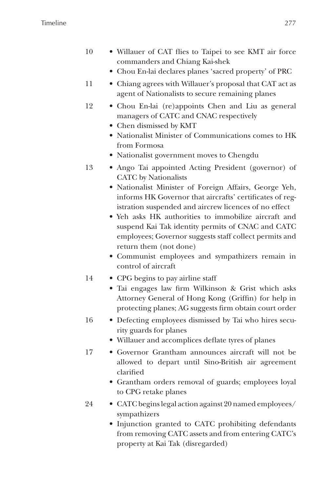- 10 Willauer of CAT flies to Taipei to see KMT air force commanders and Chiang Kai-shek
	- Chou En-lai declares planes 'sacred property' of PRC
- 11 Chiang agrees with Willauer's proposal that CAT act as agent of Nationalists to secure remaining planes
- 12 Chou En-lai (re)appoints Chen and Liu as general managers of CATC and CNAC respectively
	- Chen dismissed by KMT
	- Nationalist Minister of Communications comes to HK from Formosa
	- Nationalist government moves to Chengdu
- 13 Ango Tai appointed Acting President (governor) of CATC by Nationalists
	- Nationalist Minister of Foreign Affairs, George Yeh, informs HK Governor that aircrafts' certificates of registration suspended and aircrew licences of no effect
	- Yeh asks HK authorities to immobilize aircraft and suspend Kai Tak identity permits of CNAC and CATC employees; Governor suggests staff collect permits and return them (not done)
	- Communist employees and sympathizers remain in control of aircraft
- 14 CPG begins to pay airline staff
	- Tai engages law firm Wilkinson & Grist which asks Attorney General of Hong Kong (Griffin) for help in protecting planes; AG suggests firm obtain court order
- 16 Defecting employees dismissed by Tai who hires security guards for planes
	- Willauer and accomplices deflate tyres of planes
- 17 Governor Grantham announces aircraft will not be allowed to depart until Sino-British air agreement clarified
	- Grantham orders removal of guards; employees loyal to CPG retake planes
- 24 CATC begins legal action against 20 named employees/ sympathizers
	- Injunction granted to CATC prohibiting defendants from removing CATC assets and from entering CATC's property at Kai Tak (disregarded)